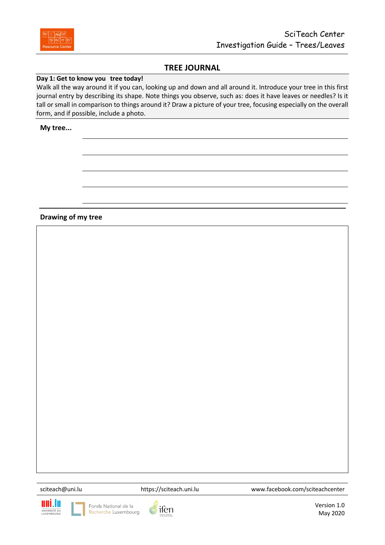

### **Day 1: Get to know youS tree today!**

Walk all the way around it if you can, looking up and down and all around it. Introduce your tree in this first journal entry by describing its shape. Note things you observe, such as: does it have leaves or needles? Is it tall or small in comparison to things around it? Draw a picture of your tree, focusing especially on the overall form, and if possible, include a photo.

#### **My tree...**

**Drawing of my tree**

sciteach@uni.lu https://sciteach.uni.lu www.facebook.com/sciteachcenter



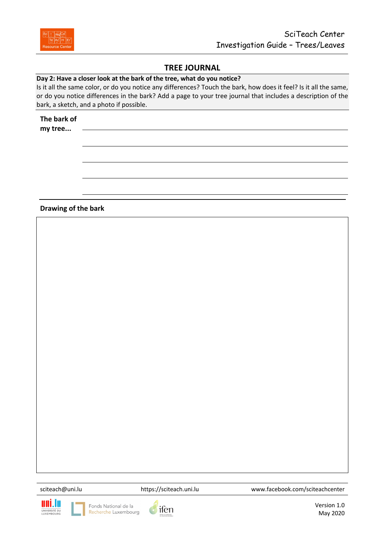

#### **Day 2: Have a closer look at the bark of the tree, what do you notice?**

Is it all the same color, or do you notice any differences? Touch the bark, how does it feel? Is it all the same, or do you notice differences in the bark? Add a page to your tree journal that includes a description of the bark, a sketch, and a photo if possible.

### **The bark of**

**my tree...**

**Drawing of the bark**



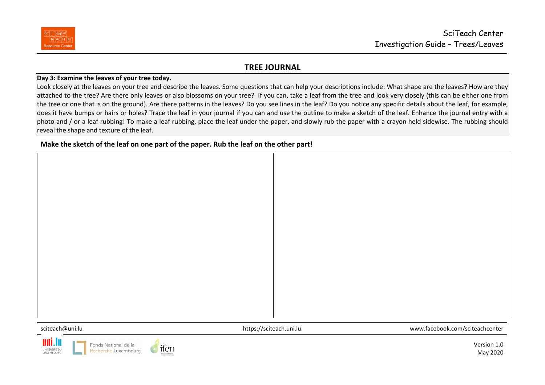

#### **Day 3: Examine the leaves of your tree today.**

Look closely at the leaves on your tree and describe the leaves. Some questions that can help your descriptions include: What shape are the leaves? How are they attached to the tree? Are there only leaves or also blossoms on your tree? If you can, take a leaf from the tree and look very closely (this can be either one from the tree or one that is on the ground). Are there patterns in the leaves? Do you see lines in the leaf? Do you notice any specific details about the leaf, for example, does it have bumps or hairs or holes? Trace the leaf in your journal if you can and use the outline to make a sketch of the leaf. Enhance the journal entry with a photo and / or a leaf rubbing! To make a leaf rubbing, place the leaf under the paper, and slowly rub the paper with a crayon held sidewise. The rubbing should reveal the shape and texture of the leaf.

### **Make the sketch of the leaf on one part of the paper. Rub the leaf on the other part!**

sciteach@uni.lu https://sciteach.uni.lu www.facebook.com/sciteachcenter





ifen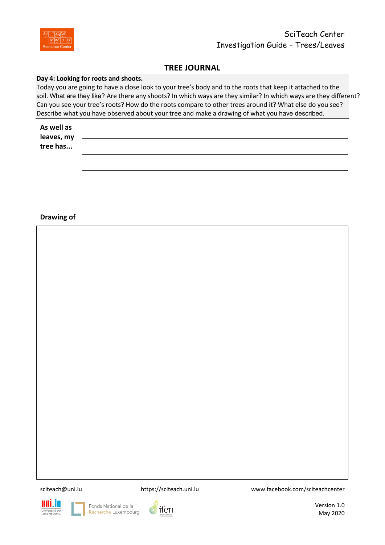

### **Day 4: Looking for roots and shoots.**

Today you are going to have a close look to your tree's body and to the roots that keep it attached to the soil. What are they like? Are there any shoots? In which ways are they similar? In which ways are they different? Can you see your tree's roots? How do the roots compare to other trees around it? What else do you see? Describe what you have observed about your tree and make a drawing of what you have described.

| As well as |  |
|------------|--|
| leaves, my |  |
| tree has   |  |
|            |  |

#### **Drawing of**



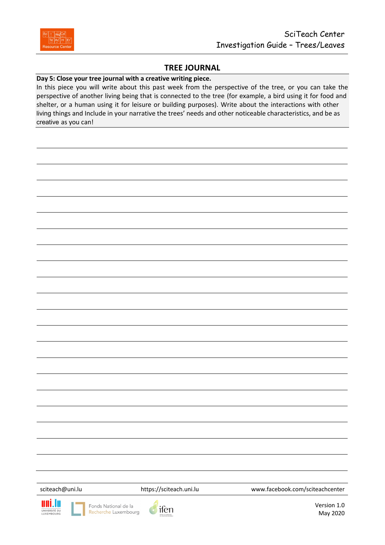

#### **Day 5: Close your tree journal with a creative writing piece.**

In this piece you will write about this past week from the perspective of the tree, or you can take the perspective of another living being that is connected to the tree (for example, a bird using it for food and shelter, or a human using it for leisure or building purposes). Write about the interactions with other living things and Include in your narrative the trees' needs and other noticeable characteristics, and be as creative as you can!



sciteach@uni.lu https://sciteach.uni.lu www.facebook.com/sciteachcenter



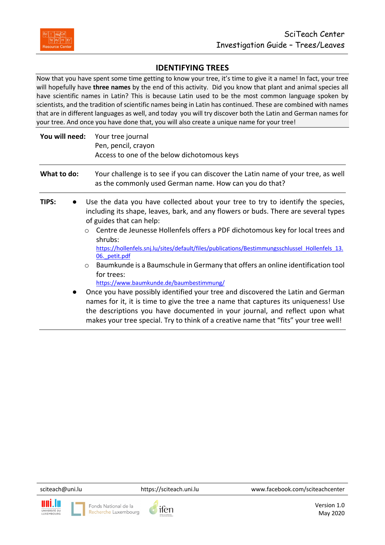

## **IDENTIFYING TREES**

Now that you have spent some time getting to know your tree, it's time to give it a name! In fact, your tree will hopefully have **three names** by the end of this activity. Did you know that plant and animal species all have scientific names in Latin? This is because Latin used to be the most common language spoken by scientists, and the tradition of scientific names being in Latin has continued. These are combined with names that are in different languages as well, and today you will try discover both the Latin and German names for your tree. And once you have done that, you will also create a unique name for your tree!

| You will need: | Your tree journal<br>Pen, pencil, crayon<br>Access to one of the below dichotomous keys                                                                                                                                                                                                                                                                                                                                                                                                                                                                                                                                                                                                                                                                                                                                                      |  |  |
|----------------|----------------------------------------------------------------------------------------------------------------------------------------------------------------------------------------------------------------------------------------------------------------------------------------------------------------------------------------------------------------------------------------------------------------------------------------------------------------------------------------------------------------------------------------------------------------------------------------------------------------------------------------------------------------------------------------------------------------------------------------------------------------------------------------------------------------------------------------------|--|--|
| What to do:    | Your challenge is to see if you can discover the Latin name of your tree, as well<br>as the commonly used German name. How can you do that?                                                                                                                                                                                                                                                                                                                                                                                                                                                                                                                                                                                                                                                                                                  |  |  |
| TIPS:          | Use the data you have collected about your tree to try to identify the species,<br>including its shape, leaves, bark, and any flowers or buds. There are several types<br>of guides that can help:<br>Centre de Jeunesse Hollenfels offers a PDF dichotomous key for local trees and<br>$\circ$<br>shrubs:<br>https://hollenfels.snj.lu/sites/default/files/publications/Bestimmungsschlussel Hollenfels 13.<br>06. petit.pdf<br>Baumkunde is a Baumschule in Germany that offers an online identification tool<br>$\circ$<br>for trees:<br>https://www.baumkunde.de/baumbestimmung/<br>Once you have possibly identified your tree and discovered the Latin and German<br>names for it, it is time to give the tree a name that captures its uniqueness! Use<br>the descriptions you have documented in your journal, and reflect upon what |  |  |

makes your tree special. Try to think of a creative name that "fits" your tree well!



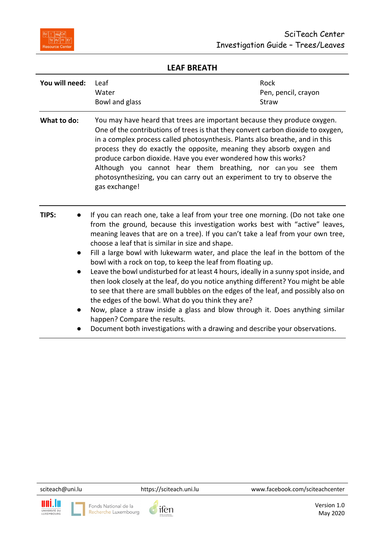

## **LEAF BREATH**

| You will need:                               | Leaf<br>Water<br>Bowl and glass                                                                                                                                                                                                                                                                                                                                                                                                                                                                                                                                                                                                                                                                                                                                                                                                                                                                                                                                                  | Rock<br>Pen, pencil, crayon<br>Straw |  |
|----------------------------------------------|----------------------------------------------------------------------------------------------------------------------------------------------------------------------------------------------------------------------------------------------------------------------------------------------------------------------------------------------------------------------------------------------------------------------------------------------------------------------------------------------------------------------------------------------------------------------------------------------------------------------------------------------------------------------------------------------------------------------------------------------------------------------------------------------------------------------------------------------------------------------------------------------------------------------------------------------------------------------------------|--------------------------------------|--|
| What to do:                                  | You may have heard that trees are important because they produce oxygen.<br>One of the contributions of trees is that they convert carbon dioxide to oxygen,<br>in a complex process called photosynthesis. Plants also breathe, and in this<br>process they do exactly the opposite, meaning they absorb oxygen and<br>produce carbon dioxide. Have you ever wondered how this works?<br>Although you cannot hear them breathing, nor canyou see them<br>photosynthesizing, you can carry out an experiment to try to observe the<br>gas exchange!                                                                                                                                                                                                                                                                                                                                                                                                                              |                                      |  |
| TIPS:<br>$\bullet$<br>$\bullet$<br>$\bullet$ | If you can reach one, take a leaf from your tree one morning. (Do not take one<br>from the ground, because this investigation works best with "active" leaves,<br>meaning leaves that are on a tree). If you can't take a leaf from your own tree,<br>choose a leaf that is similar in size and shape.<br>Fill a large bowl with lukewarm water, and place the leaf in the bottom of the<br>bowl with a rock on top, to keep the leaf from floating up.<br>Leave the bowl undisturbed for at least 4 hours, ideally in a sunny spot inside, and<br>then look closely at the leaf, do you notice anything different? You might be able<br>to see that there are small bubbles on the edges of the leaf, and possibly also on<br>the edges of the bowl. What do you think they are?<br>Now, place a straw inside a glass and blow through it. Does anything similar<br>happen? Compare the results.<br>Document both investigations with a drawing and describe your observations. |                                      |  |

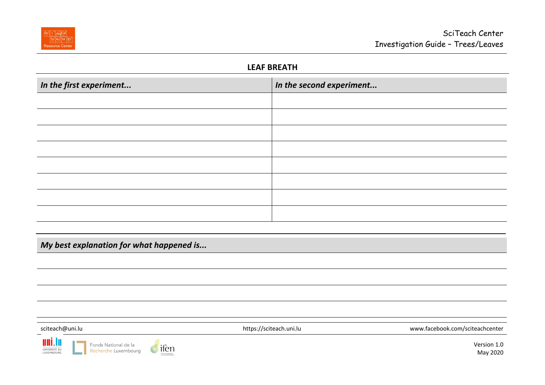

# **LEAF BREATH**

| In the first experiment | In the second experiment |
|-------------------------|--------------------------|
|                         |                          |
|                         |                          |
|                         |                          |
|                         |                          |
|                         |                          |
|                         |                          |
|                         |                          |
|                         |                          |

*My best explanation for what happened is...*

sciteach@uni.lu www.facebook.com/sciteachcenter





tifen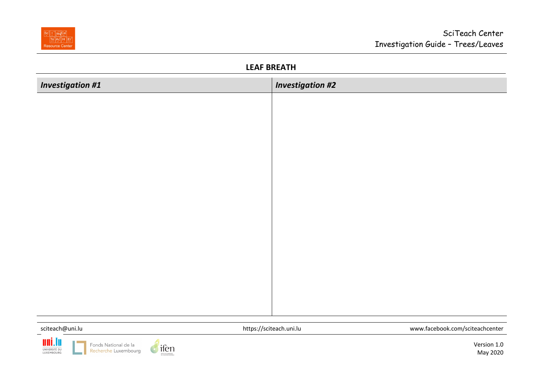

| <b>LEAF BREATH</b>                                                                            |                                                            |  |
|-----------------------------------------------------------------------------------------------|------------------------------------------------------------|--|
| <b>Investigation #1</b>                                                                       | <b>Investigation #2</b>                                    |  |
|                                                                                               |                                                            |  |
|                                                                                               |                                                            |  |
|                                                                                               |                                                            |  |
|                                                                                               |                                                            |  |
|                                                                                               |                                                            |  |
|                                                                                               |                                                            |  |
|                                                                                               |                                                            |  |
|                                                                                               |                                                            |  |
|                                                                                               |                                                            |  |
|                                                                                               |                                                            |  |
|                                                                                               |                                                            |  |
|                                                                                               |                                                            |  |
|                                                                                               |                                                            |  |
|                                                                                               |                                                            |  |
| sciteach@uni.lu<br>$\equiv$                                                                   | https://sciteach.uni.lu<br>www.facebook.com/sciteachcenter |  |
| uni.lu<br>Fonds National de la<br>Recherche Luxembourg<br>ifen<br>UNIVERSITÉ DU<br>LUXEMBOURG | Version 1.0<br>May 2020                                    |  |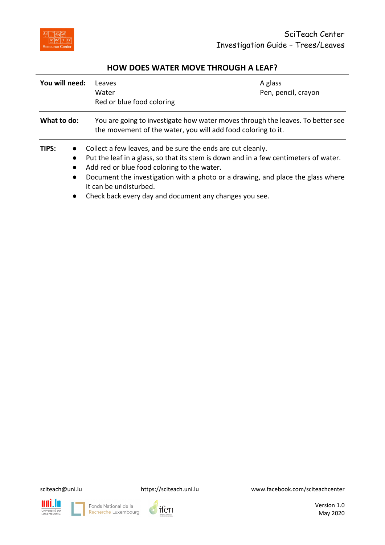

## **HOW DOES WATER MOVE THROUGH A LEAF?**

| You will need:     | Leaves<br>Water<br>Red or blue food coloring                                                                                                                                                                                                                                           | A glass<br>Pen, pencil, crayon                                                  |  |
|--------------------|----------------------------------------------------------------------------------------------------------------------------------------------------------------------------------------------------------------------------------------------------------------------------------------|---------------------------------------------------------------------------------|--|
| What to do:        | You are going to investigate how water moves through the leaves. To better see<br>the movement of the water, you will add food coloring to it.                                                                                                                                         |                                                                                 |  |
| TIPS:<br>$\bullet$ | Collect a few leaves, and be sure the ends are cut cleanly.<br>Put the leaf in a glass, so that its stem is down and in a few centimeters of water.<br>Add red or blue food coloring to the water.<br>it can be undisturbed.<br>Check back every day and document any changes you see. | Document the investigation with a photo or a drawing, and place the glass where |  |

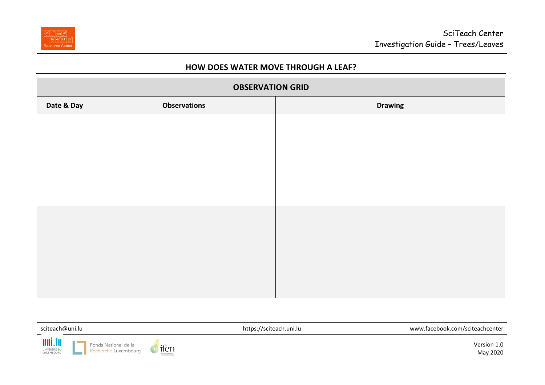

# **HOW DOES WATER MOVE THROUGH A LEAF?**

| <b>OBSERVATION GRID</b> |                     |                |  |  |
|-------------------------|---------------------|----------------|--|--|
| Date & Day              | <b>Observations</b> | <b>Drawing</b> |  |  |
|                         |                     |                |  |  |
|                         |                     |                |  |  |
|                         |                     |                |  |  |
|                         |                     |                |  |  |
|                         |                     |                |  |  |
|                         |                     |                |  |  |
|                         |                     |                |  |  |
|                         |                     |                |  |  |
|                         |                     |                |  |  |
|                         |                     |                |  |  |

sciteach@uni.lu www.facebook.com/sciteachcenter uni.lu Version 1.0 Fonds National de la  $\bullet$  ifen UNIVERSITÉ DU<br>LUXEMBOURG Recherche Luxembourg May 2020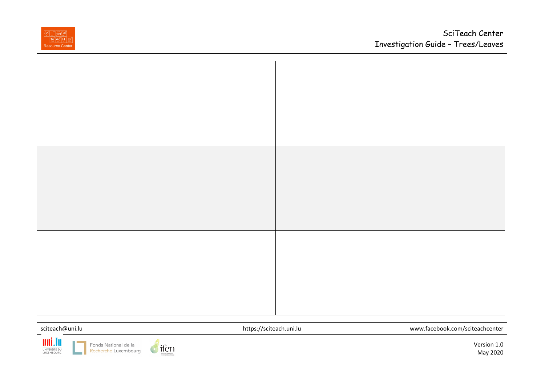

sciteach@uni.lu www.facebook.com/sciteachcenter



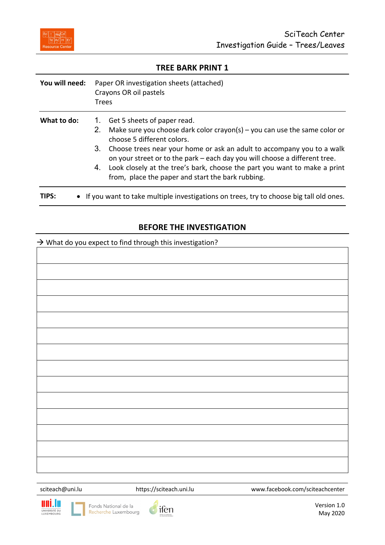

### **TREE BARK PRINT 1**

| You will need: | Paper OR investigation sheets (attached)<br>Crayons OR oil pastels<br><b>Trees</b>                                                                                                                                                                                                                                                                                                                                                                 |
|----------------|----------------------------------------------------------------------------------------------------------------------------------------------------------------------------------------------------------------------------------------------------------------------------------------------------------------------------------------------------------------------------------------------------------------------------------------------------|
| What to do:    | Get 5 sheets of paper read.<br>2.<br>Make sure you choose dark color crayon(s) – you can use the same color or<br>choose 5 different colors.<br>Choose trees near your home or ask an adult to accompany you to a walk<br>3.<br>on your street or to the park – each day you will choose a different tree.<br>Look closely at the tree's bark, choose the part you want to make a print<br>4.<br>from, place the paper and start the bark rubbing. |
| TIPS:          | • If you want to take multiple investigations on trees, try to choose big tall old ones.                                                                                                                                                                                                                                                                                                                                                           |

# **BEFORE THE INVESTIGATION**

| $\rightarrow$ What do you expect to find through this investigation? |  |  |
|----------------------------------------------------------------------|--|--|
|                                                                      |  |  |
|                                                                      |  |  |
|                                                                      |  |  |
|                                                                      |  |  |
|                                                                      |  |  |
|                                                                      |  |  |
|                                                                      |  |  |
|                                                                      |  |  |
|                                                                      |  |  |
|                                                                      |  |  |
|                                                                      |  |  |
|                                                                      |  |  |
|                                                                      |  |  |
|                                                                      |  |  |
|                                                                      |  |  |
|                                                                      |  |  |
|                                                                      |  |  |
|                                                                      |  |  |
|                                                                      |  |  |
|                                                                      |  |  |
|                                                                      |  |  |



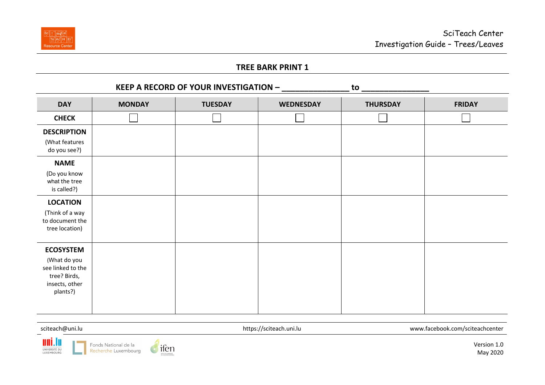

# **TREE BARK PRINT 1**

|                                                                                                     |               | <b>KEEP A RECORD OF YOUR INVESTIGATION -</b> |                  | to              |               |
|-----------------------------------------------------------------------------------------------------|---------------|----------------------------------------------|------------------|-----------------|---------------|
| <b>DAY</b>                                                                                          | <b>MONDAY</b> | <b>TUESDAY</b>                               | <b>WEDNESDAY</b> | <b>THURSDAY</b> | <b>FRIDAY</b> |
| <b>CHECK</b>                                                                                        |               |                                              |                  |                 |               |
| <b>DESCRIPTION</b><br>(What features<br>do you see?)                                                |               |                                              |                  |                 |               |
| <b>NAME</b><br>(Do you know<br>what the tree<br>is called?)                                         |               |                                              |                  |                 |               |
| <b>LOCATION</b><br>(Think of a way<br>to document the<br>tree location)                             |               |                                              |                  |                 |               |
| <b>ECOSYSTEM</b><br>(What do you<br>see linked to the<br>tree? Birds,<br>insects, other<br>plants?) |               |                                              |                  |                 |               |

sciteach@uni.lu www.facebook.com/sciteachcenter

uni.lu UNIVERSITÉ DU<br>LUXEMBOURG



 $\blacksquare$ ifen